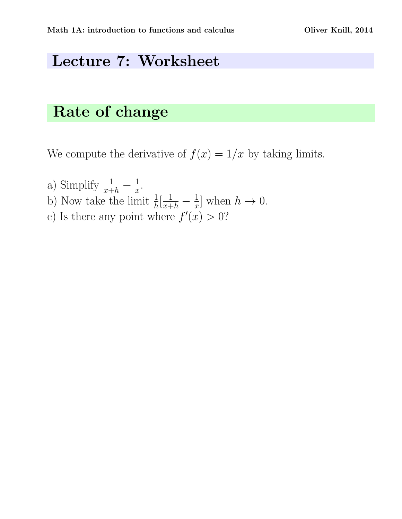# Lecture 7: Worksheet

# Rate of change

We compute the derivative of  $f(x) = 1/x$  by taking limits.

a) Simplify  $\frac{1}{x+h} - \frac{1}{x}$  $\frac{1}{x}$ . b) Now take the limit  $\frac{1}{h} \left[\frac{1}{x+h} - \frac{1}{x}\right]$  $\frac{1}{x}$  when  $h \to 0$ . c) Is there any point where  $f'(x) > 0$ ?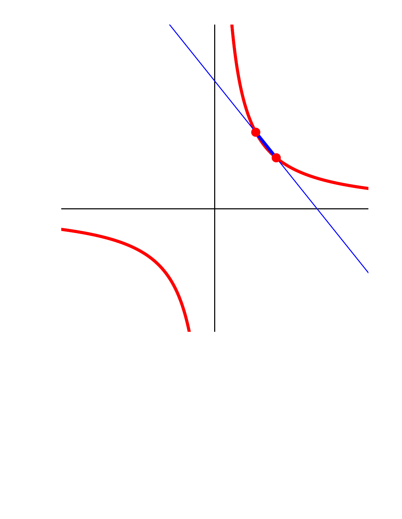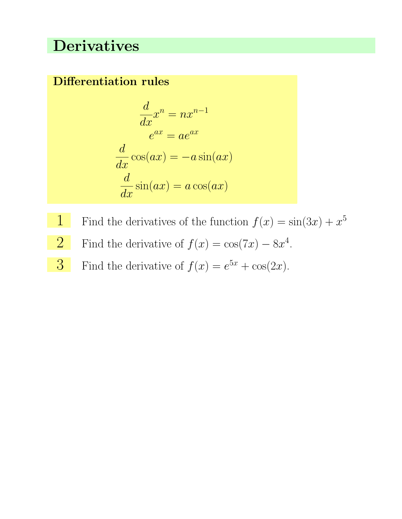# **Derivatives**

### Differentiation rules

$$
\frac{d}{dx}x^n = nx^{n-1}
$$

$$
e^{ax} = ae^{ax}
$$

$$
\frac{d}{dx}\cos(ax) = -a\sin(ax)
$$

$$
\frac{d}{dx}\sin(ax) = a\cos(ax)
$$

- **1** Find the derivatives of the function  $f(x) = \sin(3x) + x^5$
- 2 Find the derivative of  $f(x) = \cos(7x) 8x^4$ .

**3** Find the derivative of 
$$
f(x) = e^{5x} + \cos(2x)
$$
.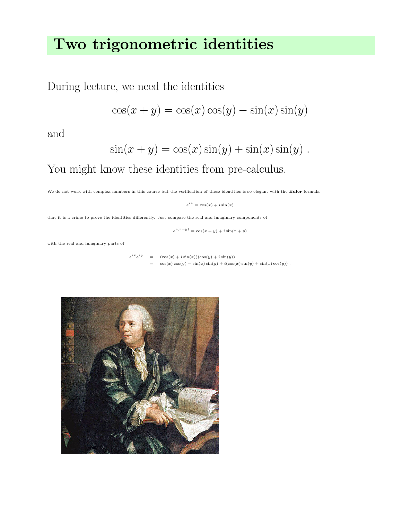# Two trigonometric identities

During lecture, we need the identities

$$
\cos(x+y) = \cos(x)\cos(y) - \sin(x)\sin(y)
$$

and

$$
\sin(x + y) = \cos(x)\sin(y) + \sin(x)\sin(y) .
$$

You might know these identities from pre-calculus.

We do not work with complex numbers in this course but the verification of these identities is so elegant with the Euler formula

 $e^{ix} = \cos(x) + i \sin(x)$ 

that it is a crime to prove the identities differently. Just compare the real and imaginary components of

 $e^{i(x+y)} = \cos(x+y) + i \sin(x+y)$ 

with the real and imaginary parts of

$$
\begin{array}{rcl}\n^{ix}e^{iy} & = & (\cos(x) + i\sin(x))(\cos(y) + i\sin(y)) \\
& = & \cos(x)\cos(y) - \sin(x)\sin(y) + i(\cos(x)\sin(y) + \sin(x)\cos(y))\n\end{array}
$$



e